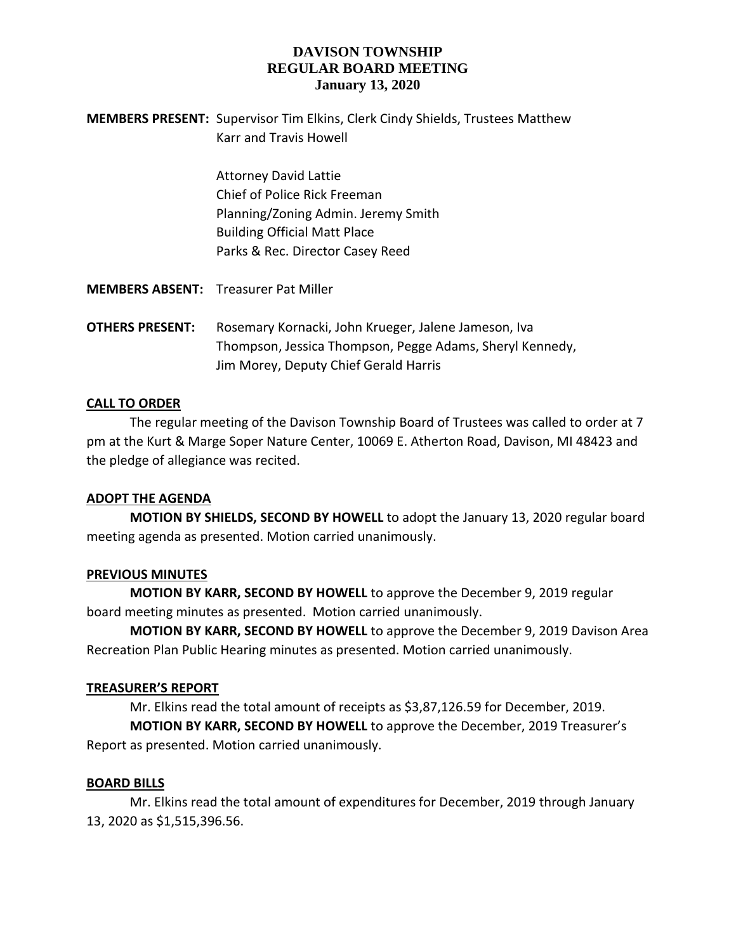**MEMBERS PRESENT:** Supervisor Tim Elkins, Clerk Cindy Shields, Trustees Matthew Karr and Travis Howell

> Attorney David Lattie Chief of Police Rick Freeman Planning/Zoning Admin. Jeremy Smith Building Official Matt Place Parks & Rec. Director Casey Reed

**MEMBERS ABSENT:** Treasurer Pat Miller

**OTHERS PRESENT:** Rosemary Kornacki, John Krueger, Jalene Jameson, Iva Thompson, Jessica Thompson, Pegge Adams, Sheryl Kennedy, Jim Morey, Deputy Chief Gerald Harris

## **CALL TO ORDER**

The regular meeting of the Davison Township Board of Trustees was called to order at 7 pm at the Kurt & Marge Soper Nature Center, 10069 E. Atherton Road, Davison, MI 48423 and the pledge of allegiance was recited.

### **ADOPT THE AGENDA**

**MOTION BY SHIELDS, SECOND BY HOWELL** to adopt the January 13, 2020 regular board meeting agenda as presented. Motion carried unanimously.

### **PREVIOUS MINUTES**

**MOTION BY KARR, SECOND BY HOWELL** to approve the December 9, 2019 regular board meeting minutes as presented. Motion carried unanimously.

**MOTION BY KARR, SECOND BY HOWELL** to approve the December 9, 2019 Davison Area Recreation Plan Public Hearing minutes as presented. Motion carried unanimously.

### **TREASURER'S REPORT**

Mr. Elkins read the total amount of receipts as \$3,87,126.59 for December, 2019. **MOTION BY KARR, SECOND BY HOWELL** to approve the December, 2019 Treasurer's Report as presented. Motion carried unanimously.

### **BOARD BILLS**

Mr. Elkins read the total amount of expenditures for December, 2019 through January 13, 2020 as \$1,515,396.56.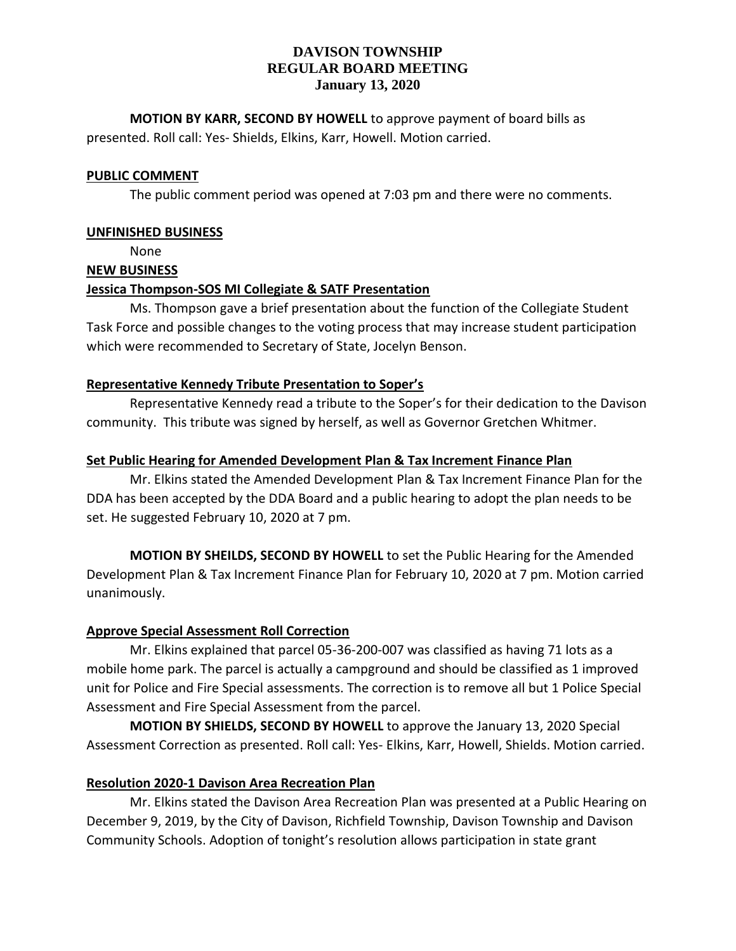**MOTION BY KARR, SECOND BY HOWELL** to approve payment of board bills as presented. Roll call: Yes- Shields, Elkins, Karr, Howell. Motion carried.

### **PUBLIC COMMENT**

The public comment period was opened at 7:03 pm and there were no comments.

### **UNFINISHED BUSINESS**

None

## **NEW BUSINESS**

## **Jessica Thompson-SOS MI Collegiate & SATF Presentation**

Ms. Thompson gave a brief presentation about the function of the Collegiate Student Task Force and possible changes to the voting process that may increase student participation which were recommended to Secretary of State, Jocelyn Benson.

## **Representative Kennedy Tribute Presentation to Soper's**

Representative Kennedy read a tribute to the Soper's for their dedication to the Davison community. This tribute was signed by herself, as well as Governor Gretchen Whitmer.

## **Set Public Hearing for Amended Development Plan & Tax Increment Finance Plan**

Mr. Elkins stated the Amended Development Plan & Tax Increment Finance Plan for the DDA has been accepted by the DDA Board and a public hearing to adopt the plan needs to be set. He suggested February 10, 2020 at 7 pm.

**MOTION BY SHEILDS, SECOND BY HOWELL** to set the Public Hearing for the Amended Development Plan & Tax Increment Finance Plan for February 10, 2020 at 7 pm. Motion carried unanimously.

# **Approve Special Assessment Roll Correction**

Mr. Elkins explained that parcel 05-36-200-007 was classified as having 71 lots as a mobile home park. The parcel is actually a campground and should be classified as 1 improved unit for Police and Fire Special assessments. The correction is to remove all but 1 Police Special Assessment and Fire Special Assessment from the parcel.

**MOTION BY SHIELDS, SECOND BY HOWELL** to approve the January 13, 2020 Special Assessment Correction as presented. Roll call: Yes- Elkins, Karr, Howell, Shields. Motion carried.

### **Resolution 2020-1 Davison Area Recreation Plan**

Mr. Elkins stated the Davison Area Recreation Plan was presented at a Public Hearing on December 9, 2019, by the City of Davison, Richfield Township, Davison Township and Davison Community Schools. Adoption of tonight's resolution allows participation in state grant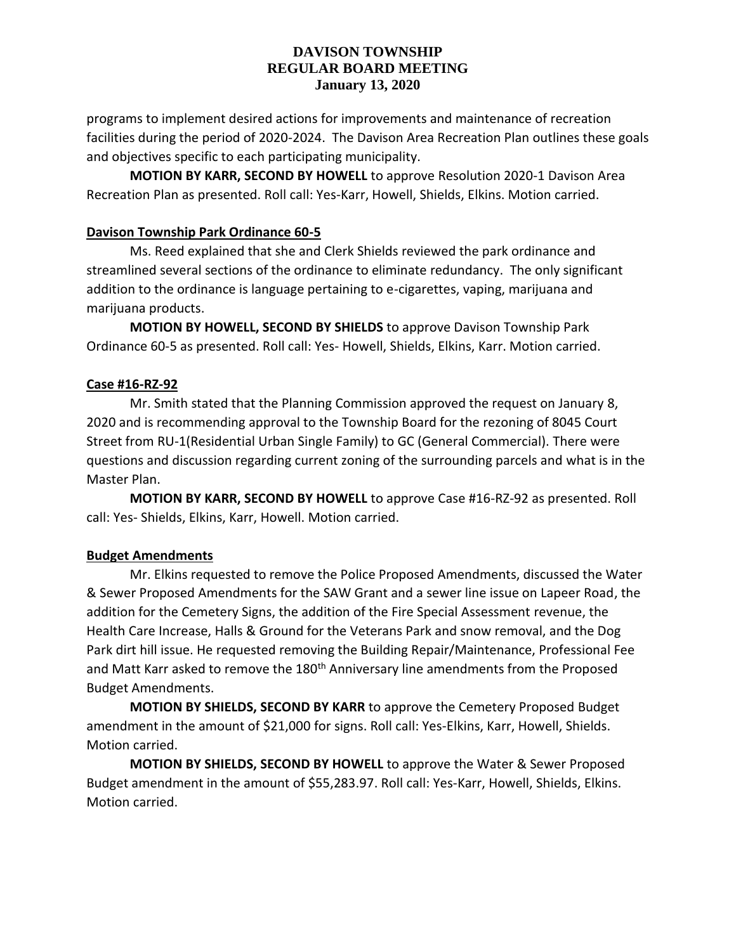programs to implement desired actions for improvements and maintenance of recreation facilities during the period of 2020-2024. The Davison Area Recreation Plan outlines these goals and objectives specific to each participating municipality.

**MOTION BY KARR, SECOND BY HOWELL** to approve Resolution 2020-1 Davison Area Recreation Plan as presented. Roll call: Yes-Karr, Howell, Shields, Elkins. Motion carried.

## **Davison Township Park Ordinance 60-5**

Ms. Reed explained that she and Clerk Shields reviewed the park ordinance and streamlined several sections of the ordinance to eliminate redundancy. The only significant addition to the ordinance is language pertaining to e-cigarettes, vaping, marijuana and marijuana products.

**MOTION BY HOWELL, SECOND BY SHIELDS** to approve Davison Township Park Ordinance 60-5 as presented. Roll call: Yes- Howell, Shields, Elkins, Karr. Motion carried.

### **Case #16-RZ-92**

Mr. Smith stated that the Planning Commission approved the request on January 8, 2020 and is recommending approval to the Township Board for the rezoning of 8045 Court Street from RU-1(Residential Urban Single Family) to GC (General Commercial). There were questions and discussion regarding current zoning of the surrounding parcels and what is in the Master Plan.

**MOTION BY KARR, SECOND BY HOWELL** to approve Case #16-RZ-92 as presented. Roll call: Yes- Shields, Elkins, Karr, Howell. Motion carried.

# **Budget Amendments**

Mr. Elkins requested to remove the Police Proposed Amendments, discussed the Water & Sewer Proposed Amendments for the SAW Grant and a sewer line issue on Lapeer Road, the addition for the Cemetery Signs, the addition of the Fire Special Assessment revenue, the Health Care Increase, Halls & Ground for the Veterans Park and snow removal, and the Dog Park dirt hill issue. He requested removing the Building Repair/Maintenance, Professional Fee and Matt Karr asked to remove the 180<sup>th</sup> Anniversary line amendments from the Proposed Budget Amendments.

**MOTION BY SHIELDS, SECOND BY KARR** to approve the Cemetery Proposed Budget amendment in the amount of \$21,000 for signs. Roll call: Yes-Elkins, Karr, Howell, Shields. Motion carried.

**MOTION BY SHIELDS, SECOND BY HOWELL** to approve the Water & Sewer Proposed Budget amendment in the amount of \$55,283.97. Roll call: Yes-Karr, Howell, Shields, Elkins. Motion carried.